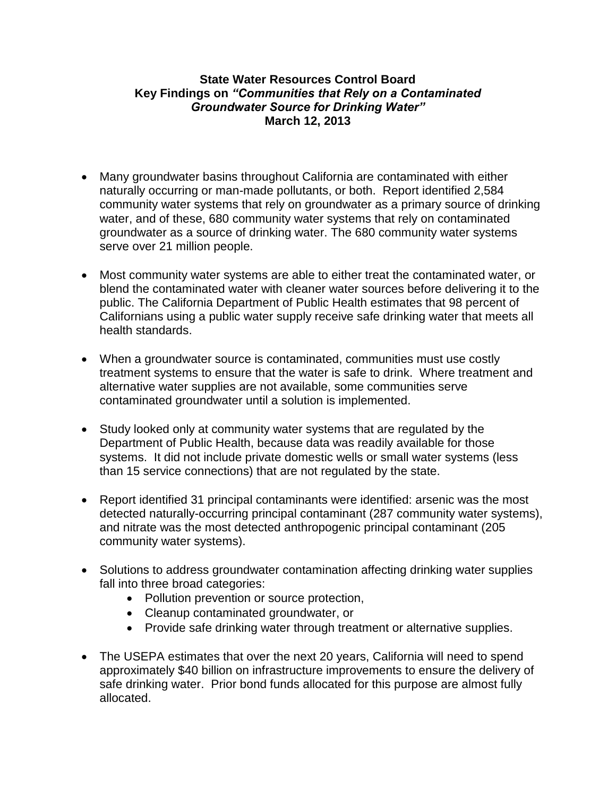## **State Water Resources Control Board Key Findings on** *"Communities that Rely on a Contaminated Groundwater Source for Drinking Water"* **March 12, 2013**

- Many groundwater basins throughout California are contaminated with either naturally occurring or man-made pollutants, or both. Report identified 2,584 community water systems that rely on groundwater as a primary source of drinking water, and of these, 680 community water systems that rely on contaminated groundwater as a source of drinking water. The 680 community water systems serve over 21 million people.
- Most community water systems are able to either treat the contaminated water, or blend the contaminated water with cleaner water sources before delivering it to the public. The California Department of Public Health estimates that 98 percent of Californians using a public water supply receive safe drinking water that meets all health standards.
- When a groundwater source is contaminated, communities must use costly treatment systems to ensure that the water is safe to drink. Where treatment and alternative water supplies are not available, some communities serve contaminated groundwater until a solution is implemented.
- Study looked only at community water systems that are regulated by the Department of Public Health, because data was readily available for those systems. It did not include private domestic wells or small water systems (less than 15 service connections) that are not regulated by the state.
- Report identified 31 principal contaminants were identified: arsenic was the most detected naturally-occurring principal contaminant (287 community water systems), and nitrate was the most detected anthropogenic principal contaminant (205 community water systems).
- Solutions to address groundwater contamination affecting drinking water supplies fall into three broad categories:
	- Pollution prevention or source protection,
	- Cleanup contaminated groundwater, or
	- Provide safe drinking water through treatment or alternative supplies.
- The USEPA estimates that over the next 20 years, California will need to spend approximately \$40 billion on infrastructure improvements to ensure the delivery of safe drinking water. Prior bond funds allocated for this purpose are almost fully allocated.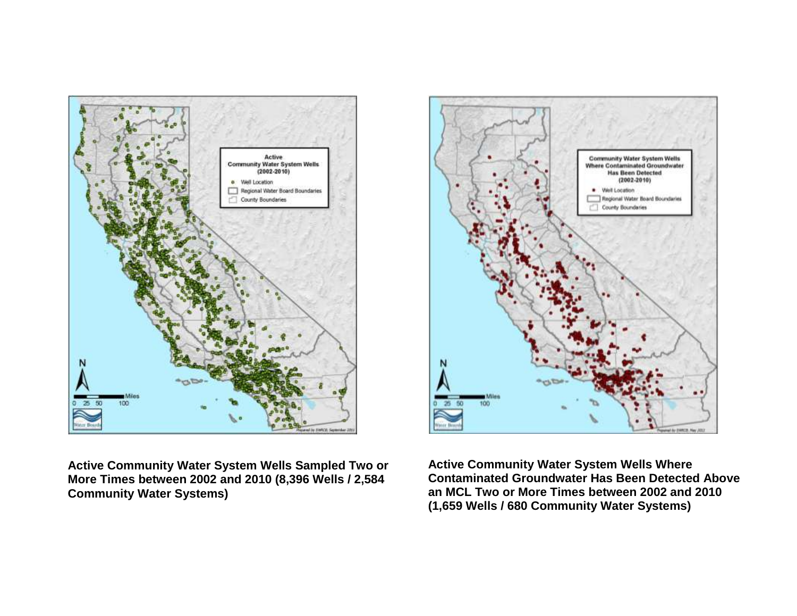

**Active Community Water System Wells Sampled Two or More Times between 2002 and 2010 (8,396 Wells / 2,584 Community Water Systems)**



**Active Community Water System Wells Where Contaminated Groundwater Has Been Detected Above an MCL Two or More Times between 2002 and 2010 (1,659 Wells / 680 Community Water Systems)**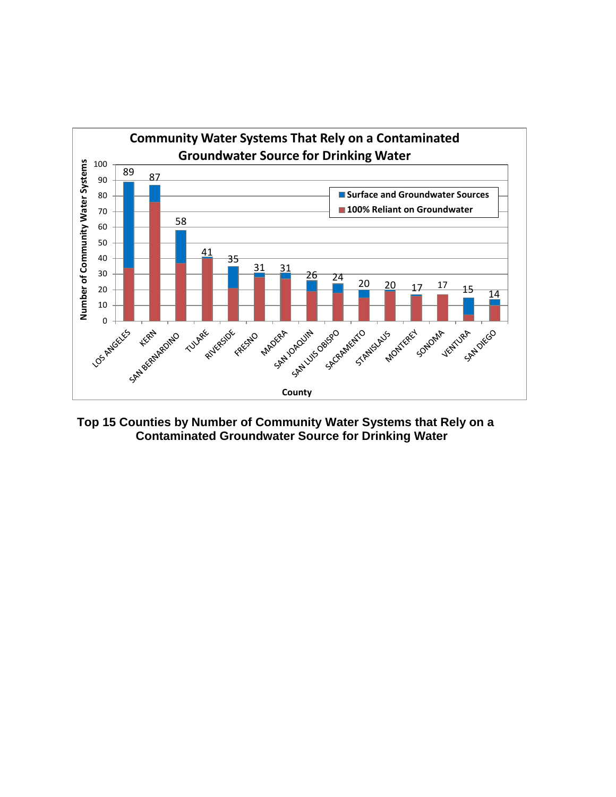

**Top 15 Counties by Number of Community Water Systems that Rely on a Contaminated Groundwater Source for Drinking Water**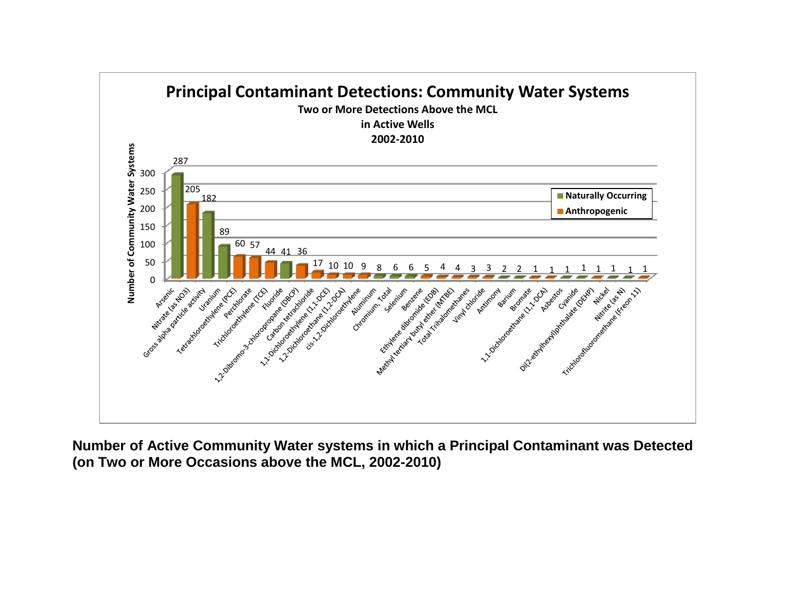

**Number of Active Community Water systems in which a Principal Contaminant was Detected (on Two or More Occasions above the MCL, 2002-2010)**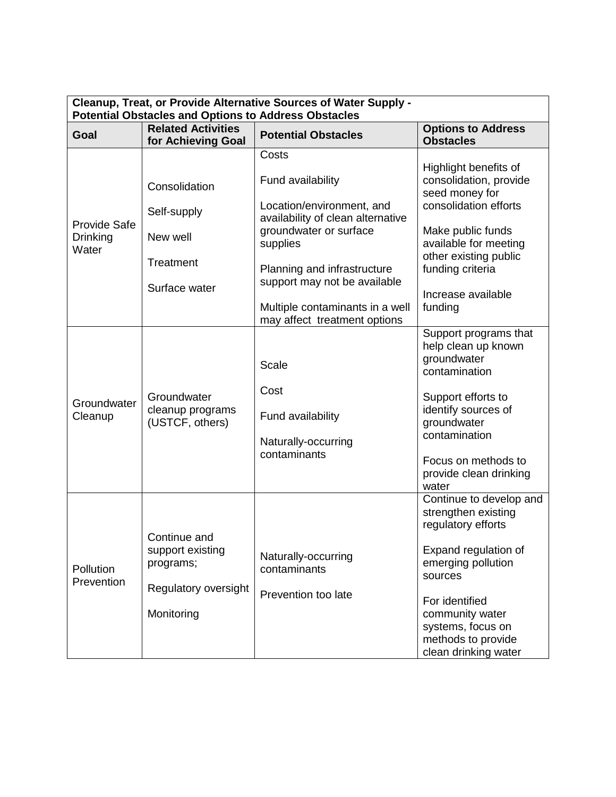| Cleanup, Treat, or Provide Alternative Sources of Water Supply -<br><b>Potential Obstacles and Options to Address Obstacles</b> |                                                                                     |                                                                                                                                                                                                                                                                      |                                                                                                                                                                                                                                       |  |
|---------------------------------------------------------------------------------------------------------------------------------|-------------------------------------------------------------------------------------|----------------------------------------------------------------------------------------------------------------------------------------------------------------------------------------------------------------------------------------------------------------------|---------------------------------------------------------------------------------------------------------------------------------------------------------------------------------------------------------------------------------------|--|
| Goal                                                                                                                            | <b>Related Activities</b><br>for Achieving Goal                                     | <b>Potential Obstacles</b>                                                                                                                                                                                                                                           | <b>Options to Address</b><br><b>Obstacles</b>                                                                                                                                                                                         |  |
| <b>Provide Safe</b><br>Drinking<br>Water                                                                                        | Consolidation<br>Self-supply<br>New well<br>Treatment<br>Surface water              | Costs<br>Fund availability<br>Location/environment, and<br>availability of clean alternative<br>groundwater or surface<br>supplies<br>Planning and infrastructure<br>support may not be available<br>Multiple contaminants in a well<br>may affect treatment options | Highlight benefits of<br>consolidation, provide<br>seed money for<br>consolidation efforts<br>Make public funds<br>available for meeting<br>other existing public<br>funding criteria<br>Increase available<br>funding                |  |
| Groundwater<br>Cleanup                                                                                                          | Groundwater<br>cleanup programs<br>(USTCF, others)                                  | <b>Scale</b><br>Cost<br>Fund availability<br>Naturally-occurring<br>contaminants                                                                                                                                                                                     | Support programs that<br>help clean up known<br>groundwater<br>contamination<br>Support efforts to<br>identify sources of<br>groundwater<br>contamination<br>Focus on methods to<br>provide clean drinking<br>water                   |  |
| Pollution<br>Prevention                                                                                                         | Continue and<br>support existing<br>programs;<br>Regulatory oversight<br>Monitoring | Naturally-occurring<br>contaminants<br>Prevention too late                                                                                                                                                                                                           | Continue to develop and<br>strengthen existing<br>regulatory efforts<br>Expand regulation of<br>emerging pollution<br>sources<br>For identified<br>community water<br>systems, focus on<br>methods to provide<br>clean drinking water |  |